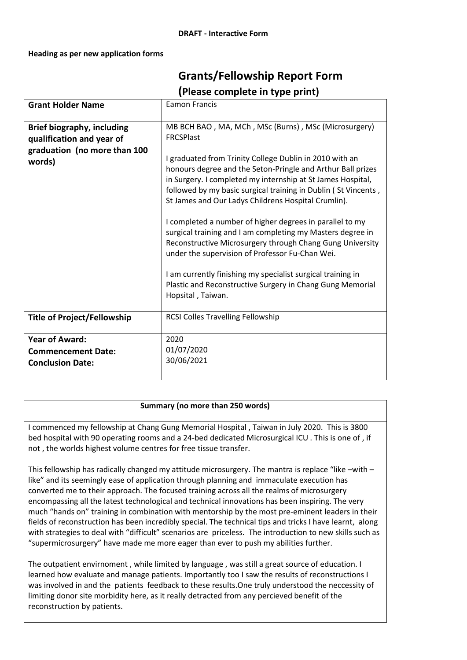## **Heading as per new application forms**

## **Grants/Fellowship Report Form (Please complete in type print)**

| <b>Grant Holder Name</b>                                                                          | <b>Eamon Francis</b>                                                                                                                                                                                                                                                                                                                                                                                                                                                                                                                                                                                                                                                                                                                                                                  |
|---------------------------------------------------------------------------------------------------|---------------------------------------------------------------------------------------------------------------------------------------------------------------------------------------------------------------------------------------------------------------------------------------------------------------------------------------------------------------------------------------------------------------------------------------------------------------------------------------------------------------------------------------------------------------------------------------------------------------------------------------------------------------------------------------------------------------------------------------------------------------------------------------|
| Brief biography, including<br>qualification and year of<br>graduation (no more than 100<br>words) | MB BCH BAO, MA, MCh, MSc (Burns), MSc (Microsurgery)<br><b>FRCSPlast</b><br>I graduated from Trinity College Dublin in 2010 with an<br>honours degree and the Seton-Pringle and Arthur Ball prizes<br>in Surgery. I completed my internship at St James Hospital,<br>followed by my basic surgical training in Dublin (St Vincents,<br>St James and Our Ladys Childrens Hospital Crumlin).<br>I completed a number of higher degrees in parallel to my<br>surgical training and I am completing my Masters degree in<br>Reconstructive Microsurgery through Chang Gung University<br>under the supervision of Professor Fu-Chan Wei.<br>I am currently finishing my specialist surgical training in<br>Plastic and Reconstructive Surgery in Chang Gung Memorial<br>Hopsital, Taiwan. |
| <b>Title of Project/Fellowship</b>                                                                | <b>RCSI Colles Travelling Fellowship</b>                                                                                                                                                                                                                                                                                                                                                                                                                                                                                                                                                                                                                                                                                                                                              |
| <b>Year of Award:</b><br><b>Commencement Date:</b><br><b>Conclusion Date:</b>                     | 2020<br>01/07/2020<br>30/06/2021                                                                                                                                                                                                                                                                                                                                                                                                                                                                                                                                                                                                                                                                                                                                                      |

## **Summary (no more than 250 words)**

I commenced my fellowship at Chang Gung Memorial Hospital , Taiwan in July 2020. This is 3800 bed hospital with 90 operating rooms and a 24-bed dedicated Microsurgical ICU . This is one of , if not , the worlds highest volume centres for free tissue transfer.

This fellowship has radically changed my attitude microsurgery. The mantra is replace "like –with – like" and its seemingly ease of application through planning and immaculate execution has converted me to their approach. The focused training across all the realms of microsurgery encompassing all the latest technological and technical innovations has been inspiring. The very much "hands on" training in combination with mentorship by the most pre-eminent leaders in their fields of reconstruction has been incredibly special. The technical tips and tricks I have learnt, along with strategies to deal with "difficult" scenarios are priceless. The introduction to new skills such as "supermicrosurgery" have made me more eager than ever to push my abilities further.

The outpatient envirnoment , while limited by language , was still a great source of education. I learned how evaluate and manage patients. Importantly too I saw the results of reconstructions I was involved in and the patients feedback to these results.One truly understood the neccessity of limiting donor site morbidity here, as it really detracted from any percieved benefit of the reconstruction by patients.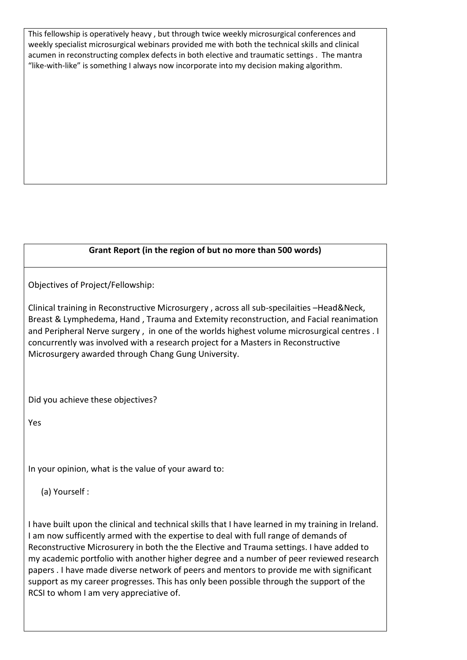This fellowship is operatively heavy , but through twice weekly microsurgical conferences and weekly specialist microsurgical webinars provided me with both the technical skills and clinical acumen in reconstructing complex defects in both elective and traumatic settings . The mantra "like-with-like" is something I always now incorporate into my decision making algorithm.

## **Grant Report (in the region of but no more than 500 words)**

Objectives of Project/Fellowship:

Clinical training in Reconstructive Microsurgery , across all sub-specilaities –Head&Neck, Breast & Lymphedema, Hand , Trauma and Extemity reconstruction, and Facial reanimation and Peripheral Nerve surgery , in one of the worlds highest volume microsurgical centres . I concurrently was involved with a research project for a Masters in Reconstructive Microsurgery awarded through Chang Gung University.

Did you achieve these objectives?

Yes

In your opinion, what is the value of your award to:

(a) Yourself :

I have built upon the clinical and technical skills that I have learned in my training in Ireland. I am now sufficently armed with the expertise to deal with full range of demands of Reconstructive Microsurery in both the the Elective and Trauma settings. I have added to my academic portfolio with another higher degree and a number of peer reviewed research papers . I have made diverse network of peers and mentors to provide me with significant support as my career progresses. This has only been possible through the support of the RCSI to whom I am very appreciative of.